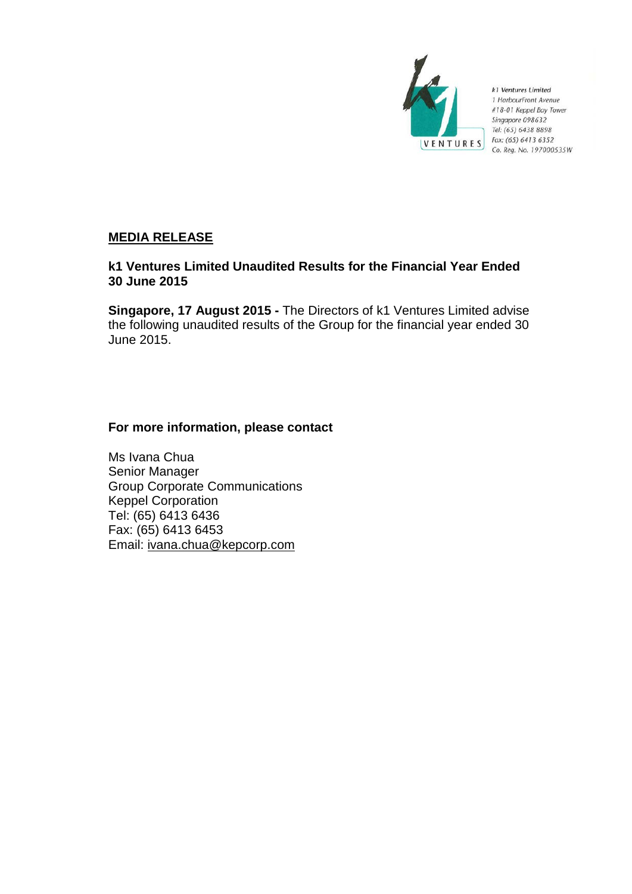

k1 Ventures Limited 1 HarbourFront Avenue #18-01 Keppel Bay Tower Singapore 098632 Tel: (65) 6438 8898 Fax: (65) 6413 6352 Co. Reg. No. 197000535W

# **MEDIA RELEASE**

# **k1 Ventures Limited Unaudited Results for the Financial Year Ended 30 June 2015**

**Singapore, 17 August 2015 -** The Directors of k1 Ventures Limited advise the following unaudited results of the Group for the financial year ended 30 June 2015.

# **For more information, please contact**

Ms Ivana Chua Senior Manager Group Corporate Communications Keppel Corporation Tel: (65) 6413 6436 Fax: (65) 6413 6453 Email: ivana.chua@kepcorp.com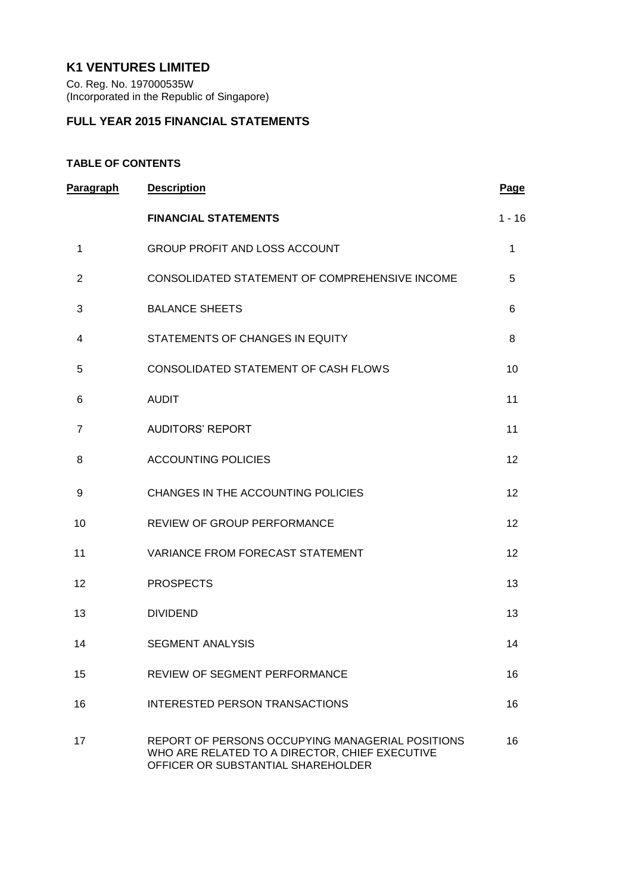# **K1 VENTURES LIMITED**

Co. Reg. No. 197000535W (Incorporated in the Republic of Singapore)

# **FULL YEAR 2015 FINANCIAL STATEMENTS**

# **TABLE OF CONTENTS**

| Paragraph      | <b>Description</b>                                                                                                                       | Page     |
|----------------|------------------------------------------------------------------------------------------------------------------------------------------|----------|
|                | <b>FINANCIAL STATEMENTS</b>                                                                                                              | $1 - 16$ |
| 1              | <b>GROUP PROFIT AND LOSS ACCOUNT</b>                                                                                                     | 1        |
| $\overline{2}$ | CONSOLIDATED STATEMENT OF COMPREHENSIVE INCOME                                                                                           | 5        |
| 3              | <b>BALANCE SHEETS</b>                                                                                                                    | 6        |
| 4              | STATEMENTS OF CHANGES IN EQUITY                                                                                                          | 8        |
| 5              | CONSOLIDATED STATEMENT OF CASH FLOWS                                                                                                     | 10       |
| 6              | <b>AUDIT</b>                                                                                                                             | 11       |
| $\overline{7}$ | <b>AUDITORS' REPORT</b>                                                                                                                  | 11       |
| 8              | <b>ACCOUNTING POLICIES</b>                                                                                                               | 12       |
| 9              | CHANGES IN THE ACCOUNTING POLICIES                                                                                                       | 12       |
| 10             | REVIEW OF GROUP PERFORMANCE                                                                                                              | 12       |
| 11             | <b>VARIANCE FROM FORECAST STATEMENT</b>                                                                                                  | 12       |
| 12             | <b>PROSPECTS</b>                                                                                                                         | 13       |
| 13             | <b>DIVIDEND</b>                                                                                                                          | 13       |
| 14             | <b>SEGMENT ANALYSIS</b>                                                                                                                  | 14       |
| 15             | <b>REVIEW OF SEGMENT PERFORMANCE</b>                                                                                                     | 16       |
| 16             | <b>INTERESTED PERSON TRANSACTIONS</b>                                                                                                    | 16       |
| 17             | REPORT OF PERSONS OCCUPYING MANAGERIAL POSITIONS<br>WHO ARE RELATED TO A DIRECTOR, CHIEF EXECUTIVE<br>OFFICER OR SUBSTANTIAL SHAREHOLDER | 16       |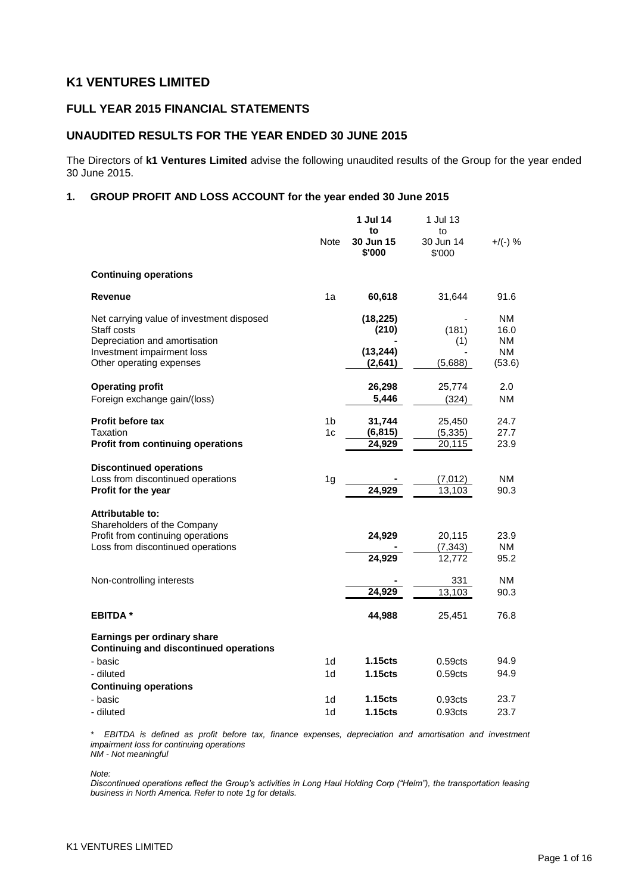# **K1 VENTURES LIMITED**

## **FULL YEAR 2015 FINANCIAL STATEMENTS**

## **UNAUDITED RESULTS FOR THE YEAR ENDED 30 JUNE 2015**

The Directors of **k1 Ventures Limited** advise the following unaudited results of the Group for the year ended 30 June 2015.

### **1. GROUP PROFIT AND LOSS ACCOUNT for the year ended 30 June 2015**

|                                                                                                                                                     | Note                             | 1 Jul 14<br>to<br>30 Jun 15<br>\$'000      | 1 Jul 13<br>to<br>30 Jun 14<br>\$'000      | $+$ /(-) %                          |
|-----------------------------------------------------------------------------------------------------------------------------------------------------|----------------------------------|--------------------------------------------|--------------------------------------------|-------------------------------------|
| <b>Continuing operations</b>                                                                                                                        |                                  |                                            |                                            |                                     |
| Revenue                                                                                                                                             | 1a                               | 60,618                                     | 31,644                                     | 91.6                                |
| Net carrying value of investment disposed<br>Staff costs<br>Depreciation and amortisation<br>Investment impairment loss<br>Other operating expenses |                                  | (18, 225)<br>(210)<br>(13, 244)<br>(2,641) | (181)<br>(1)<br>(5,688)                    | NM.<br>16.0<br>NM.<br>NM.<br>(53.6) |
| <b>Operating profit</b><br>Foreign exchange gain/(loss)                                                                                             |                                  | 26,298<br>5,446                            | 25,774<br>(324)                            | 2.0<br>NM                           |
| <b>Profit before tax</b><br>Taxation<br><b>Profit from continuing operations</b>                                                                    | 1 <sub>b</sub><br>1c             | 31,744<br>(6, 815)<br>24,929               | 25,450<br>(5, 335)<br>20,115               | 24.7<br>27.7<br>23.9                |
| <b>Discontinued operations</b><br>Loss from discontinued operations<br>Profit for the year                                                          | 1 <sub>g</sub>                   | 24,929                                     | (7,012)<br>13,103                          | NM.<br>90.3                         |
| <b>Attributable to:</b><br>Shareholders of the Company<br>Profit from continuing operations<br>Loss from discontinued operations                    |                                  | 24,929<br>24,929                           | 20,115<br>(7, 343)<br>12,772               | 23.9<br>NM<br>95.2                  |
| Non-controlling interests                                                                                                                           |                                  | 24,929                                     | 331<br>13,103                              | NM.<br>90.3                         |
| <b>EBITDA*</b>                                                                                                                                      |                                  | 44,988                                     | 25,451                                     | 76.8                                |
| Earnings per ordinary share<br><b>Continuing and discontinued operations</b>                                                                        |                                  |                                            |                                            |                                     |
| - basic<br>- diluted                                                                                                                                | 1 <sub>d</sub><br>1d             | 1.15 <sub>cts</sub><br>1.15cts             | 0.59 <sub>cts</sub><br>0.59 <sub>cts</sub> | 94.9<br>94.9                        |
| <b>Continuing operations</b><br>- basic<br>- diluted                                                                                                | 1 <sub>d</sub><br>1 <sub>d</sub> | 1.15 <sub>cts</sub><br>1.15 <sub>cts</sub> | 0.93 <sub>cts</sub><br>0.93 <sub>cts</sub> | 23.7<br>23.7                        |

*\* EBITDA is defined as profit before tax, finance expenses, depreciation and amortisation and investment impairment loss for continuing operations NM - Not meaningful*

*Note:*

*Discontinued operations reflect the Group's activities in Long Haul Holding Corp ("Helm"), the transportation leasing business in North America. Refer to note 1g for details.*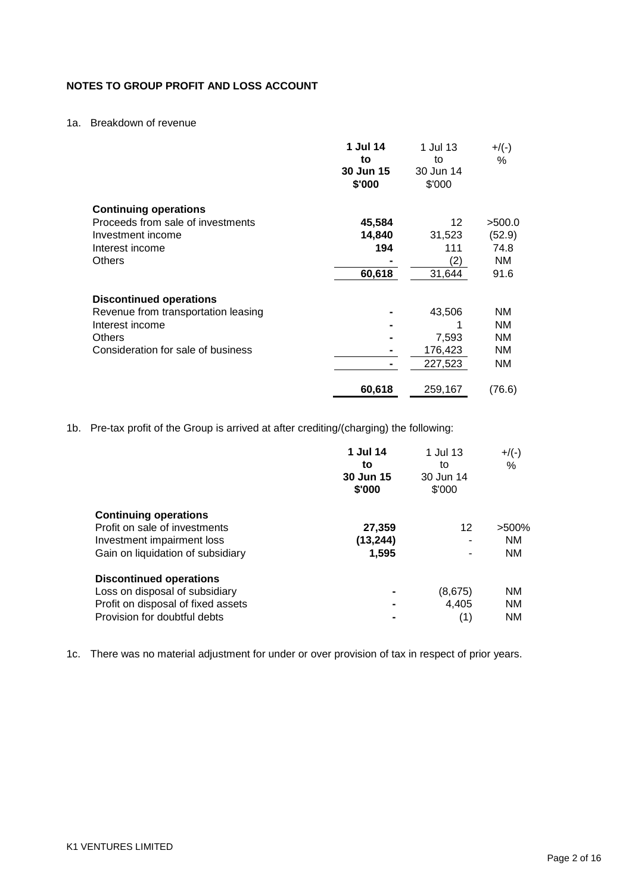## **NOTES TO GROUP PROFIT AND LOSS ACCOUNT**

## 1a. Breakdown of revenue

|                                     | 1 Jul 14<br>to<br>30 Jun 15<br>\$'000 | 1 Jul 13<br>to<br>30 Jun 14<br>\$'000 | $+$ /(-)<br>$\%$ |
|-------------------------------------|---------------------------------------|---------------------------------------|------------------|
| <b>Continuing operations</b>        |                                       |                                       |                  |
| Proceeds from sale of investments   | 45,584                                | 12                                    | >500.0           |
| Investment income                   | 14,840                                | 31,523                                | (52.9)           |
| Interest income                     | 194                                   | 111                                   | 74.8             |
| <b>Others</b>                       |                                       | (2)                                   | ΝM               |
|                                     | 60,618                                | 31,644                                | 91.6             |
| <b>Discontinued operations</b>      |                                       |                                       |                  |
| Revenue from transportation leasing |                                       | 43,506                                | NΜ               |
| Interest income                     |                                       | 1                                     | <b>NM</b>        |
| Others                              |                                       | 7,593                                 | NM.              |
| Consideration for sale of business  |                                       | 176,423                               | <b>NM</b>        |
|                                     |                                       | 227,523                               | NM               |
|                                     | 60,618                                | 259,167                               | (76.6)           |

1b. Pre-tax profit of the Group is arrived at after crediting/(charging) the following:

|                                                                                                                                        | 1 Jul 14<br>to<br>30 Jun 15<br>\$'000 | 1 Jul 13<br>to<br>30 Jun 14<br>\$'000 | $+$ /(-)<br>$\%$                    |
|----------------------------------------------------------------------------------------------------------------------------------------|---------------------------------------|---------------------------------------|-------------------------------------|
| <b>Continuing operations</b><br>Profit on sale of investments<br>Investment impairment loss<br>Gain on liquidation of subsidiary       | 27,359<br>(13, 244)<br>1.595          | 12<br>۰<br>۰                          | $>500\%$<br><b>NM</b><br><b>NM</b>  |
| <b>Discontinued operations</b><br>Loss on disposal of subsidiary<br>Profit on disposal of fixed assets<br>Provision for doubtful debts |                                       | (8,675)<br>4,405<br>(1)               | <b>NM</b><br><b>NM</b><br><b>NM</b> |

1c. There was no material adjustment for under or over provision of tax in respect of prior years.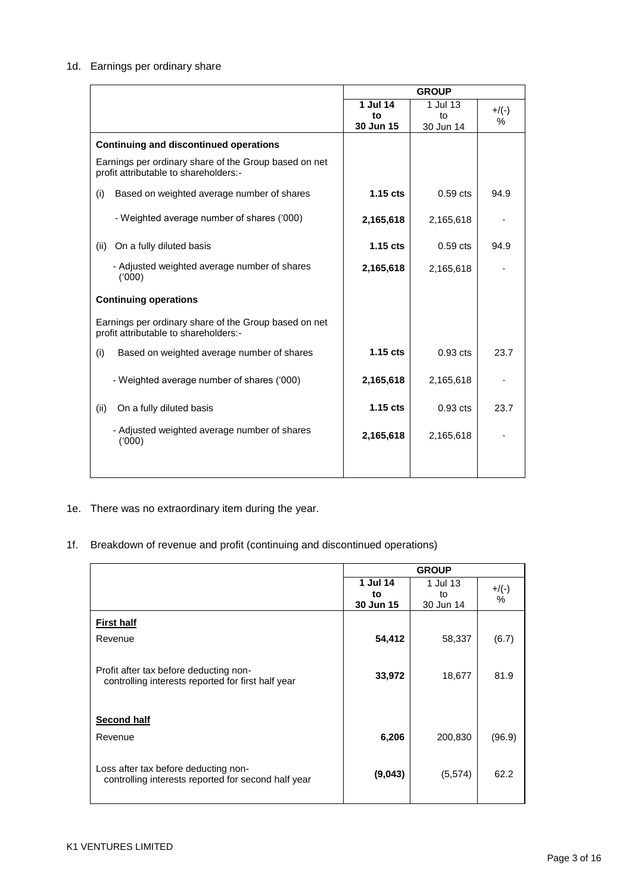## 1d. Earnings per ordinary share

|                                                                                                | <b>GROUP</b> |            |          |
|------------------------------------------------------------------------------------------------|--------------|------------|----------|
|                                                                                                | 1 Jul 14     | 1 Jul 13   | $+$ /(-) |
|                                                                                                | to           | to         | ℅        |
|                                                                                                | 30 Jun 15    | 30 Jun 14  |          |
| <b>Continuing and discontinued operations</b>                                                  |              |            |          |
| Earnings per ordinary share of the Group based on net<br>profit attributable to shareholders:- |              |            |          |
| (i)<br>Based on weighted average number of shares                                              | $1.15$ cts   | $0.59$ cts | 94.9     |
| - Weighted average number of shares ('000)                                                     | 2,165,618    | 2,165,618  |          |
| On a fully diluted basis<br>(ii)                                                               | $1.15$ cts   | $0.59$ cts | 94.9     |
| - Adjusted weighted average number of shares<br>(000)                                          | 2,165,618    | 2,165,618  |          |
| <b>Continuing operations</b>                                                                   |              |            |          |
| Earnings per ordinary share of the Group based on net<br>profit attributable to shareholders:- |              |            |          |
| (i)<br>Based on weighted average number of shares                                              | $1.15$ cts   | $0.93$ cts | 23.7     |
| - Weighted average number of shares ('000)                                                     | 2,165,618    | 2,165,618  |          |
| On a fully diluted basis<br>(ii)                                                               | $1.15$ cts   | $0.93$ cts | 23.7     |
| - Adjusted weighted average number of shares<br>(000)                                          | 2,165,618    | 2,165,618  |          |
|                                                                                                |              |            |          |

- 1e. There was no extraordinary item during the year.
- 1f. Breakdown of revenue and profit (continuing and discontinued operations)

|                                                                                              |                             | <b>GROUP</b>                |                  |
|----------------------------------------------------------------------------------------------|-----------------------------|-----------------------------|------------------|
|                                                                                              | 1 Jul 14<br>to<br>30 Jun 15 | 1 Jul 13<br>to<br>30 Jun 14 | $+$ /(-)<br>$\%$ |
| <b>First half</b>                                                                            |                             |                             |                  |
| Revenue                                                                                      | 54,412                      | 58,337                      | (6.7)            |
|                                                                                              |                             |                             |                  |
| Profit after tax before deducting non-<br>controlling interests reported for first half year | 33,972                      | 18,677                      | 81.9             |
|                                                                                              |                             |                             |                  |
| <b>Second half</b>                                                                           |                             |                             |                  |
| Revenue                                                                                      | 6,206                       | 200,830                     | (96.9)           |
|                                                                                              |                             |                             |                  |
| Loss after tax before deducting non-<br>controlling interests reported for second half year  | (9,043)                     | (5,574)                     | 62.2             |
|                                                                                              |                             |                             |                  |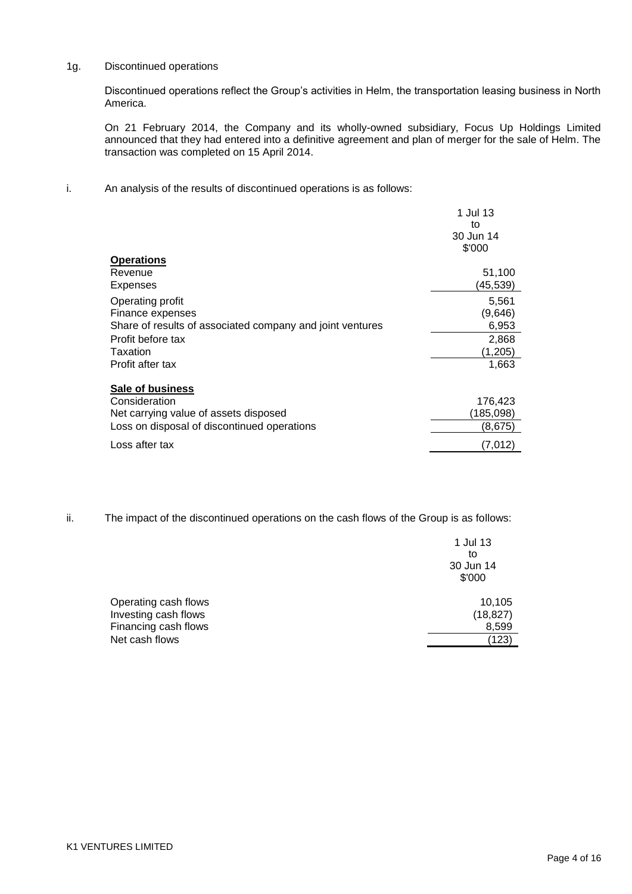### 1g. Discontinued operations

Discontinued operations reflect the Group"s activities in Helm, the transportation leasing business in North America.

On 21 February 2014, the Company and its wholly-owned subsidiary, Focus Up Holdings Limited announced that they had entered into a definitive agreement and plan of merger for the sale of Helm. The transaction was completed on 15 April 2014.

i. An analysis of the results of discontinued operations is as follows:

|                                                           | 1 Jul 13<br>to<br>30 Jun 14<br>\$'000 |
|-----------------------------------------------------------|---------------------------------------|
| <b>Operations</b>                                         |                                       |
| Revenue                                                   | 51,100                                |
| Expenses                                                  | (45,539)                              |
| Operating profit                                          | 5,561                                 |
| Finance expenses                                          | (9,646)                               |
| Share of results of associated company and joint ventures | 6,953                                 |
| Profit before tax                                         | 2,868                                 |
| Taxation                                                  | (1, 205)                              |
| Profit after tax                                          | 1,663                                 |
| <b>Sale of business</b>                                   |                                       |
| Consideration                                             | 176,423                               |
| Net carrying value of assets disposed                     | (185, 098)                            |
| Loss on disposal of discontinued operations               | (8,675)                               |
| Loss after tax                                            | (7.012)                               |

ii. The impact of the discontinued operations on the cash flows of the Group is as follows:

|                      | 1 Jul 13<br>to<br>30 Jun 14<br>\$'000 |
|----------------------|---------------------------------------|
| Operating cash flows | 10,105                                |
| Investing cash flows | (18, 827)                             |
| Financing cash flows | 8,599                                 |
| Net cash flows       | (123)                                 |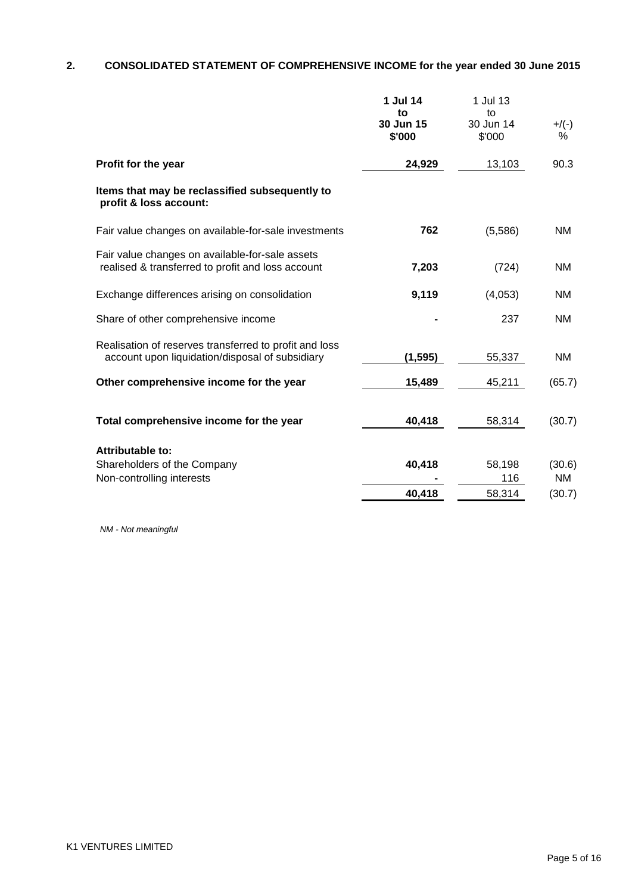# **2. CONSOLIDATED STATEMENT OF COMPREHENSIVE INCOME for the year ended 30 June 2015**

|                                                                                                           | 1 Jul 14<br>to<br>30 Jun 15<br>\$'000 | 1 Jul 13<br>to<br>30 Jun 14<br>\$'000 | $+$ /(-)<br>℅ |
|-----------------------------------------------------------------------------------------------------------|---------------------------------------|---------------------------------------|---------------|
| Profit for the year                                                                                       | 24,929                                | 13,103                                | 90.3          |
| Items that may be reclassified subsequently to<br>profit & loss account:                                  |                                       |                                       |               |
| Fair value changes on available-for-sale investments                                                      | 762                                   | (5,586)                               | <b>NM</b>     |
| Fair value changes on available-for-sale assets<br>realised & transferred to profit and loss account      | 7,203                                 | (724)                                 | <b>NM</b>     |
| Exchange differences arising on consolidation                                                             | 9,119                                 | (4,053)                               | <b>NM</b>     |
| Share of other comprehensive income                                                                       |                                       | 237                                   | <b>NM</b>     |
| Realisation of reserves transferred to profit and loss<br>account upon liquidation/disposal of subsidiary | (1, 595)                              | 55,337                                | ΝM            |
| Other comprehensive income for the year                                                                   | 15,489                                | 45,211                                | (65.7)        |
| Total comprehensive income for the year                                                                   | 40,418                                | 58,314                                | (30.7)        |
| <b>Attributable to:</b><br>Shareholders of the Company                                                    | 40,418                                | 58,198                                | (30.6)        |
| Non-controlling interests                                                                                 |                                       | 116                                   | NM            |
|                                                                                                           | 40,418                                | 58,314                                | (30.7)        |

*NM - Not meaningful*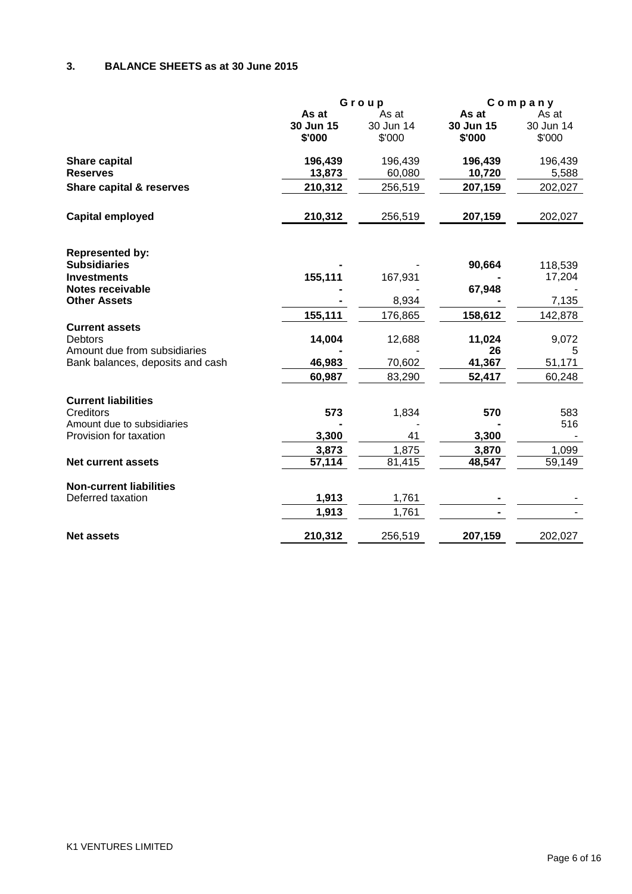# **3. BALANCE SHEETS as at 30 June 2015**

|                                                |           | Group     |           | Company   |
|------------------------------------------------|-----------|-----------|-----------|-----------|
|                                                | As at     | As at     | As at     | As at     |
|                                                | 30 Jun 15 | 30 Jun 14 | 30 Jun 15 | 30 Jun 14 |
|                                                | \$'000    | \$'000    | \$'000    | \$'000    |
| <b>Share capital</b>                           | 196,439   | 196,439   | 196,439   | 196,439   |
| <b>Reserves</b>                                | 13,873    | 60,080    | 10,720    | 5,588     |
| <b>Share capital &amp; reserves</b>            | 210,312   | 256,519   | 207,159   | 202,027   |
| <b>Capital employed</b>                        | 210,312   | 256,519   | 207,159   | 202,027   |
|                                                |           |           |           |           |
| <b>Represented by:</b>                         |           |           |           |           |
| <b>Subsidiaries</b>                            |           |           | 90,664    | 118,539   |
| <b>Investments</b>                             | 155,111   | 167,931   |           | 17,204    |
| <b>Notes receivable</b><br><b>Other Assets</b> |           | 8,934     | 67,948    | 7,135     |
|                                                | 155,111   | 176,865   | 158,612   | 142,878   |
| <b>Current assets</b>                          |           |           |           |           |
| <b>Debtors</b>                                 | 14,004    | 12,688    | 11,024    | 9,072     |
| Amount due from subsidiaries                   |           |           | 26        | 5         |
| Bank balances, deposits and cash               | 46,983    | 70,602    | 41,367    | 51,171    |
|                                                | 60,987    | 83,290    | 52,417    | 60,248    |
| <b>Current liabilities</b>                     |           |           |           |           |
| Creditors                                      | 573       | 1,834     | 570       | 583       |
| Amount due to subsidiaries                     |           |           |           | 516       |
| Provision for taxation                         | 3,300     | 41        | 3,300     |           |
|                                                | 3,873     | 1,875     | 3,870     | 1,099     |
| <b>Net current assets</b>                      | 57,114    | 81,415    | 48,547    | 59,149    |
| <b>Non-current liabilities</b>                 |           |           |           |           |
| Deferred taxation                              | 1,913     | 1,761     |           |           |
|                                                | 1,913     | 1,761     |           |           |
| <b>Net assets</b>                              | 210,312   | 256,519   | 207,159   | 202,027   |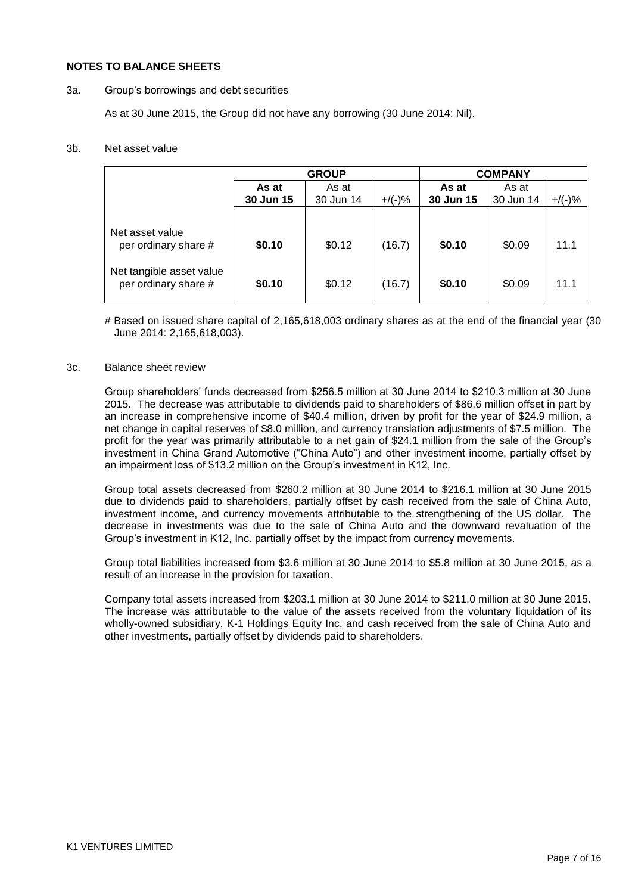#### **NOTES TO BALANCE SHEETS**

#### 3a. Group"s borrowings and debt securities

As at 30 June 2015, the Group did not have any borrowing (30 June 2014: Nil).

### 3b. Net asset value

|                                                  | <b>GROUP</b> |           |           | <b>COMPANY</b> |           |           |
|--------------------------------------------------|--------------|-----------|-----------|----------------|-----------|-----------|
|                                                  | As at        | As at     |           | As at          | As at     |           |
|                                                  | 30 Jun 15    | 30 Jun 14 | $+/(-)$ % | 30 Jun 15      | 30 Jun 14 | $+$ /(-)% |
| Net asset value<br>per ordinary share #          | \$0.10       | \$0.12    | (16.7)    | \$0.10         | \$0.09    | 11.1      |
| Net tangible asset value<br>per ordinary share # | \$0.10       | \$0.12    | (16.7)    | \$0.10         | \$0.09    | 11.1      |

# Based on issued share capital of 2,165,618,003 ordinary shares as at the end of the financial year (30 June 2014: 2,165,618,003).

#### 3c. Balance sheet review

Group shareholders" funds decreased from \$256.5 million at 30 June 2014 to \$210.3 million at 30 June 2015. The decrease was attributable to dividends paid to shareholders of \$86.6 million offset in part by an increase in comprehensive income of \$40.4 million, driven by profit for the year of \$24.9 million, a net change in capital reserves of \$8.0 million, and currency translation adjustments of \$7.5 million. The profit for the year was primarily attributable to a net gain of \$24.1 million from the sale of the Group"s investment in China Grand Automotive ("China Auto") and other investment income, partially offset by an impairment loss of \$13.2 million on the Group"s investment in K12, Inc.

Group total assets decreased from \$260.2 million at 30 June 2014 to \$216.1 million at 30 June 2015 due to dividends paid to shareholders, partially offset by cash received from the sale of China Auto, investment income, and currency movements attributable to the strengthening of the US dollar. The decrease in investments was due to the sale of China Auto and the downward revaluation of the Group"s investment in K12, Inc. partially offset by the impact from currency movements.

Group total liabilities increased from \$3.6 million at 30 June 2014 to \$5.8 million at 30 June 2015, as a result of an increase in the provision for taxation.

Company total assets increased from \$203.1 million at 30 June 2014 to \$211.0 million at 30 June 2015. The increase was attributable to the value of the assets received from the voluntary liquidation of its wholly-owned subsidiary, K-1 Holdings Equity Inc, and cash received from the sale of China Auto and other investments, partially offset by dividends paid to shareholders.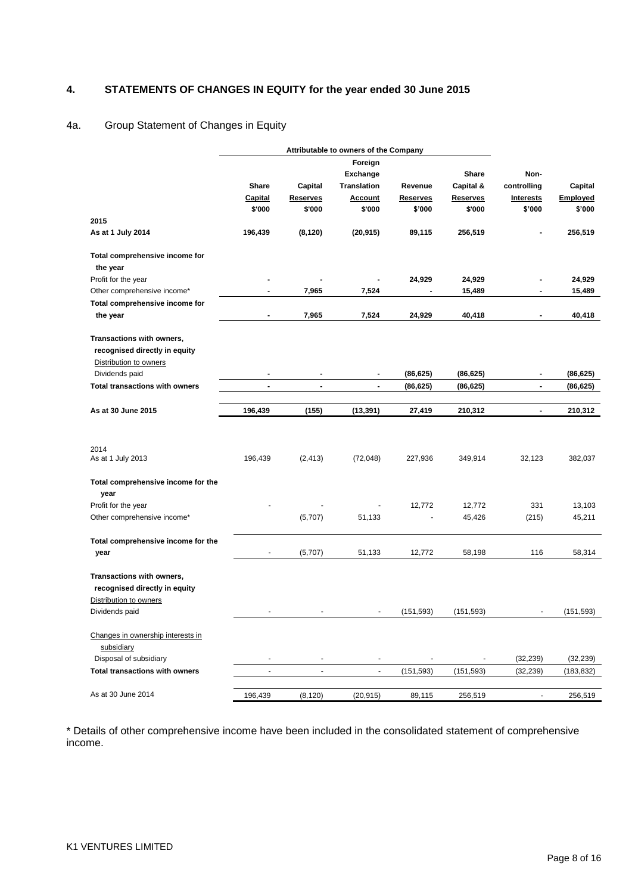# **4. STATEMENTS OF CHANGES IN EQUITY for the year ended 30 June 2015**

# 4a. Group Statement of Changes in Equity

|                                                                                      | Attributable to owners of the Company |                          |                    |                 |                 |                          |            |
|--------------------------------------------------------------------------------------|---------------------------------------|--------------------------|--------------------|-----------------|-----------------|--------------------------|------------|
|                                                                                      |                                       |                          | Foreign            |                 |                 |                          |            |
|                                                                                      |                                       |                          | Exchange           |                 | Share           | Non-                     |            |
|                                                                                      | <b>Share</b>                          | Capital                  | <b>Translation</b> | Revenue         | Capital &       | controlling              | Capital    |
|                                                                                      | <b>Capital</b>                        | <u>Reserves</u>          | <b>Account</b>     | <b>Reserves</b> | <b>Reserves</b> | <b>Interests</b>         | Employed   |
|                                                                                      | \$'000                                | \$'000                   | \$'000             | \$'000          | \$'000          | \$'000                   | \$'000     |
| 2015                                                                                 |                                       |                          |                    |                 |                 |                          |            |
| As at 1 July 2014                                                                    | 196,439                               | (8, 120)                 | (20, 915)          | 89,115          | 256,519         | ٠                        | 256,519    |
| Total comprehensive income for                                                       |                                       |                          |                    |                 |                 |                          |            |
| the year                                                                             |                                       |                          |                    |                 |                 |                          |            |
| Profit for the year                                                                  |                                       |                          |                    | 24,929          | 24,929          |                          | 24,929     |
| Other comprehensive income*                                                          |                                       | 7,965                    | 7,524              |                 | 15,489          |                          | 15,489     |
| Total comprehensive income for                                                       |                                       |                          |                    |                 |                 |                          |            |
| the year                                                                             |                                       | 7,965                    | 7,524              | 24,929          | 40,418          | $\overline{\phantom{a}}$ | 40,418     |
| Transactions with owners,<br>recognised directly in equity<br>Distribution to owners |                                       |                          |                    |                 |                 |                          |            |
| Dividends paid                                                                       |                                       |                          |                    | (86, 625)       | (86, 625)       |                          | (86, 625)  |
| <b>Total transactions with owners</b>                                                | $\blacksquare$                        | $\blacksquare$           | $\blacksquare$     | (86, 625)       | (86, 625)       | $\overline{\phantom{a}}$ | (86, 625)  |
| As at 30 June 2015                                                                   | 196,439                               | (155)                    | (13, 391)          | 27,419          | 210,312         | $\overline{\phantom{a}}$ | 210,312    |
| 2014<br>As at 1 July 2013                                                            | 196,439                               | (2, 413)                 | (72, 048)          | 227,936         | 349,914         | 32,123                   | 382,037    |
| Total comprehensive income for the                                                   |                                       |                          |                    |                 |                 |                          |            |
| year<br>Profit for the year                                                          |                                       |                          |                    | 12,772          | 12,772          | 331                      | 13,103     |
| Other comprehensive income*                                                          |                                       | (5,707)                  | 51,133             |                 | 45,426          | (215)                    | 45,211     |
| Total comprehensive income for the                                                   |                                       |                          |                    |                 |                 |                          |            |
| year                                                                                 |                                       | (5,707)                  | 51,133             | 12,772          | 58,198          | 116                      | 58,314     |
| Transactions with owners,<br>recognised directly in equity<br>Distribution to owners |                                       |                          |                    |                 |                 |                          |            |
| Dividends paid                                                                       |                                       |                          |                    | (151, 593)      | (151, 593)      |                          | (151, 593) |
| Changes in ownership interests in<br>subsidiary                                      |                                       |                          |                    |                 |                 |                          |            |
| Disposal of subsidiary                                                               |                                       | $\overline{\phantom{a}}$ |                    |                 |                 | (32, 239)                | (32, 239)  |
| <b>Total transactions with owners</b>                                                | $\blacksquare$                        | $\blacksquare$           | $\blacksquare$     | (151, 593)      | (151, 593)      | (32, 239)                | (183, 832) |
| As at 30 June 2014                                                                   | 196,439                               | (8, 120)                 | (20, 915)          | 89,115          | 256,519         | $\blacksquare$           | 256,519    |

\* Details of other comprehensive income have been included in the consolidated statement of comprehensive income.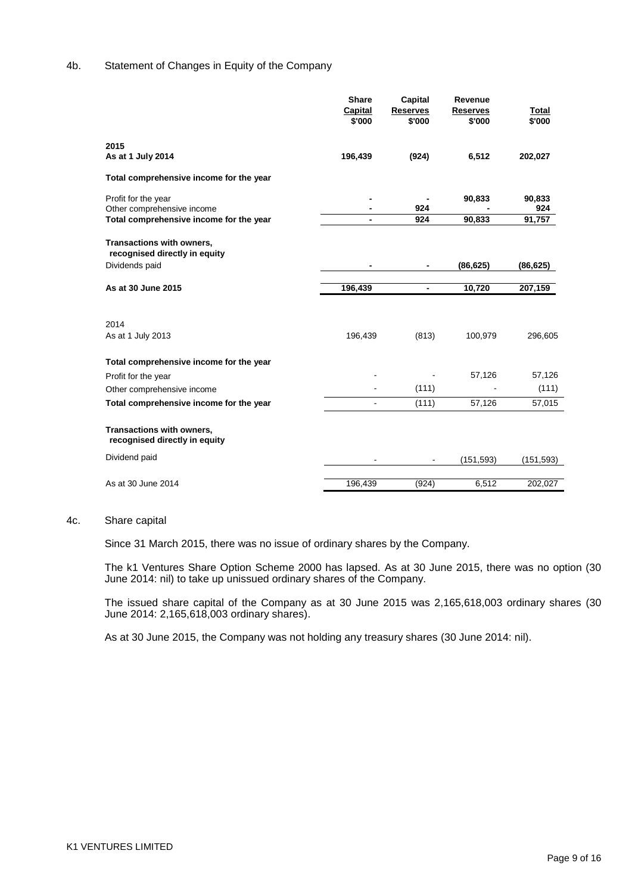### 4b. Statement of Changes in Equity of the Company

|                                                                              | <b>Share</b><br>Capital<br>\$'000 | <b>Capital</b><br><b>Reserves</b><br>\$'000 | Revenue<br><b>Reserves</b><br>\$'000 | Total<br>\$'000 |
|------------------------------------------------------------------------------|-----------------------------------|---------------------------------------------|--------------------------------------|-----------------|
| 2015<br>As at 1 July 2014                                                    | 196,439                           | (924)                                       | 6,512                                | 202,027         |
| Total comprehensive income for the year                                      |                                   |                                             |                                      |                 |
| Profit for the year<br>Other comprehensive income                            |                                   | 924                                         | 90,833                               | 90,833<br>924   |
| Total comprehensive income for the year                                      | $\blacksquare$                    | 924                                         | 90,833                               | 91,757          |
| Transactions with owners,<br>recognised directly in equity<br>Dividends paid |                                   |                                             | (86, 625)                            | (86, 625)       |
| As at 30 June 2015                                                           | 196,439                           | $\overline{\phantom{a}}$                    | 10,720                               | 207,159         |
| 2014                                                                         |                                   |                                             |                                      |                 |
| As at 1 July 2013                                                            | 196,439                           | (813)                                       | 100,979                              | 296,605         |
| Total comprehensive income for the year                                      |                                   |                                             |                                      |                 |
| Profit for the year                                                          |                                   |                                             | 57,126                               | 57,126          |
| Other comprehensive income                                                   |                                   | (111)                                       |                                      | (111)           |
| Total comprehensive income for the year                                      | $\blacksquare$                    | (111)                                       | 57,126                               | 57,015          |
| Transactions with owners,<br>recognised directly in equity                   |                                   |                                             |                                      |                 |
| Dividend paid                                                                |                                   |                                             | (151, 593)                           | (151, 593)      |
| As at 30 June 2014                                                           | 196,439                           | (924)                                       | 6,512                                | 202,027         |

#### 4c. Share capital

Since 31 March 2015, there was no issue of ordinary shares by the Company.

The k1 Ventures Share Option Scheme 2000 has lapsed. As at 30 June 2015, there was no option (30 June 2014: nil) to take up unissued ordinary shares of the Company.

The issued share capital of the Company as at 30 June 2015 was 2,165,618,003 ordinary shares (30 June 2014: 2,165,618,003 ordinary shares).

As at 30 June 2015, the Company was not holding any treasury shares (30 June 2014: nil).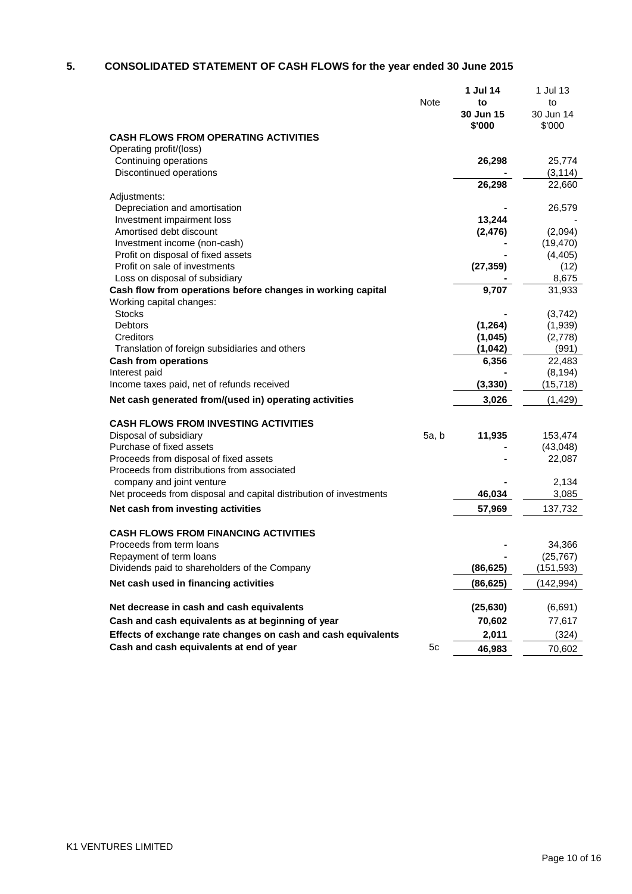# **5. CONSOLIDATED STATEMENT OF CASH FLOWS for the year ended 30 June 2015**

|                                                                    |       | 1 Jul 14  | 1 Jul 13   |
|--------------------------------------------------------------------|-------|-----------|------------|
|                                                                    | Note  | to        | to         |
|                                                                    |       | 30 Jun 15 | 30 Jun 14  |
|                                                                    |       | \$'000    | \$'000     |
| <b>CASH FLOWS FROM OPERATING ACTIVITIES</b>                        |       |           |            |
| Operating profit/(loss)                                            |       |           |            |
| Continuing operations                                              |       | 26,298    | 25,774     |
| Discontinued operations                                            |       |           | (3, 114)   |
|                                                                    |       | 26,298    | 22,660     |
| Adjustments:                                                       |       |           |            |
| Depreciation and amortisation                                      |       |           | 26,579     |
| Investment impairment loss                                         |       | 13,244    |            |
| Amortised debt discount                                            |       | (2, 476)  | (2,094)    |
| Investment income (non-cash)                                       |       |           | (19, 470)  |
| Profit on disposal of fixed assets                                 |       |           | (4, 405)   |
| Profit on sale of investments                                      |       | (27, 359) | (12)       |
| Loss on disposal of subsidiary                                     |       |           | 8,675      |
| Cash flow from operations before changes in working capital        |       | 9,707     | 31,933     |
| Working capital changes:                                           |       |           |            |
| <b>Stocks</b>                                                      |       |           |            |
| Debtors                                                            |       | (1, 264)  | (3,742)    |
| Creditors                                                          |       |           | (1,939)    |
|                                                                    |       | (1,045)   | (2,778)    |
| Translation of foreign subsidiaries and others                     |       | (1,042)   | (991)      |
| <b>Cash from operations</b>                                        |       | 6,356     | 22,483     |
| Interest paid                                                      |       |           | (8, 194)   |
| Income taxes paid, net of refunds received                         |       | (3, 330)  | (15, 718)  |
| Net cash generated from/(used in) operating activities             |       | 3,026     | (1, 429)   |
| <b>CASH FLOWS FROM INVESTING ACTIVITIES</b>                        |       |           |            |
| Disposal of subsidiary                                             | 5a, b | 11,935    | 153,474    |
| Purchase of fixed assets                                           |       |           | (43, 048)  |
| Proceeds from disposal of fixed assets                             |       |           | 22,087     |
| Proceeds from distributions from associated                        |       |           |            |
| company and joint venture                                          |       |           | 2,134      |
| Net proceeds from disposal and capital distribution of investments |       | 46,034    | 3,085      |
| Net cash from investing activities                                 |       | 57,969    | 137,732    |
| <b>CASH FLOWS FROM FINANCING ACTIVITIES</b>                        |       |           |            |
| Proceeds from term loans                                           |       |           | 34,366     |
| Repayment of term loans                                            |       |           | (25, 767)  |
| Dividends paid to shareholders of the Company                      |       | (86, 625) | (151, 593) |
|                                                                    |       |           |            |
| Net cash used in financing activities                              |       | (86, 625) | (142, 994) |
| Net decrease in cash and cash equivalents                          |       | (25, 630) | (6,691)    |
| Cash and cash equivalents as at beginning of year                  |       | 70,602    | 77,617     |
| Effects of exchange rate changes on cash and cash equivalents      |       | 2,011     | (324)      |
| Cash and cash equivalents at end of year                           | 5c    |           | 70,602     |
|                                                                    |       | 46,983    |            |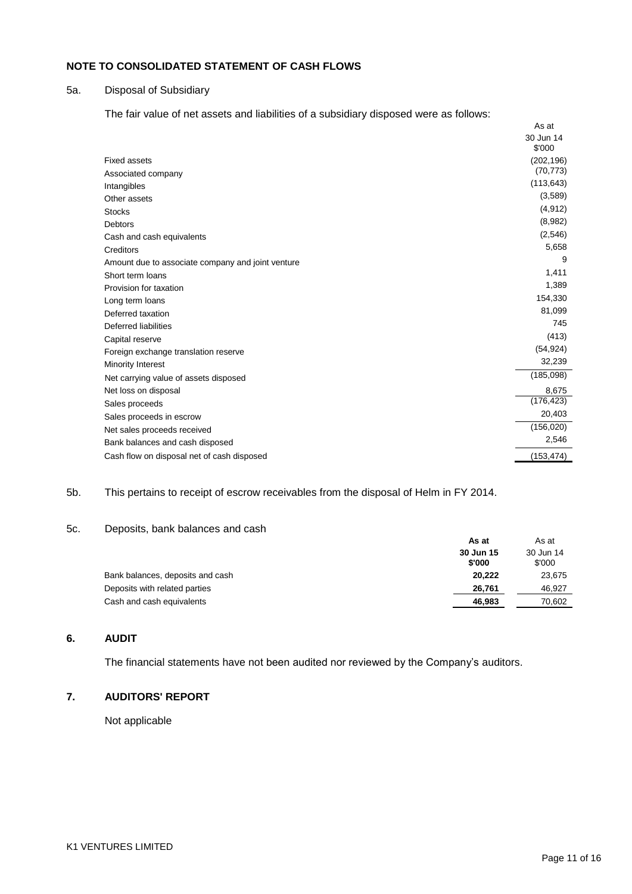# **NOTE TO CONSOLIDATED STATEMENT OF CASH FLOWS**

### 5a. Disposal of Subsidiary

The fair value of net assets and liabilities of a subsidiary disposed were as follows:

|                                                   | As at               |
|---------------------------------------------------|---------------------|
|                                                   | 30 Jun 14<br>\$'000 |
| <b>Fixed assets</b>                               | (202, 196)          |
| Associated company                                | (70, 773)           |
| Intangibles                                       | (113, 643)          |
| Other assets                                      | (3,589)             |
| <b>Stocks</b>                                     | (4, 912)            |
| Debtors                                           | (8,982)             |
| Cash and cash equivalents                         | (2, 546)            |
| Creditors                                         | 5,658               |
| Amount due to associate company and joint venture | 9                   |
| Short term loans                                  | 1,411               |
| Provision for taxation                            | 1,389               |
| Long term loans                                   | 154,330             |
| Deferred taxation                                 | 81,099              |
| Deferred liabilities                              | 745                 |
| Capital reserve                                   | (413)               |
| Foreign exchange translation reserve              | (54, 924)           |
| Minority Interest                                 | 32,239              |
| Net carrying value of assets disposed             | (185,098)           |
| Net loss on disposal                              | 8,675               |
| Sales proceeds                                    | (176, 423)          |
| Sales proceeds in escrow                          | 20,403              |
| Net sales proceeds received                       | (156, 020)          |
| Bank balances and cash disposed                   | 2,546               |
| Cash flow on disposal net of cash disposed        | (153, 474)          |

### 5b. This pertains to receipt of escrow receivables from the disposal of Helm in FY 2014.

## 5c. Deposits, bank balances and cash

|                                  | As at               | As at               |
|----------------------------------|---------------------|---------------------|
|                                  | 30 Jun 15<br>\$'000 | 30 Jun 14<br>\$'000 |
| Bank balances, deposits and cash | 20.222              | 23,675              |
| Deposits with related parties    | 26.761              | 46,927              |
| Cash and cash equivalents        | 46.983              | 70,602              |

## **6. AUDIT**

The financial statements have not been audited nor reviewed by the Company's auditors.

# **7. AUDITORS' REPORT**

Not applicable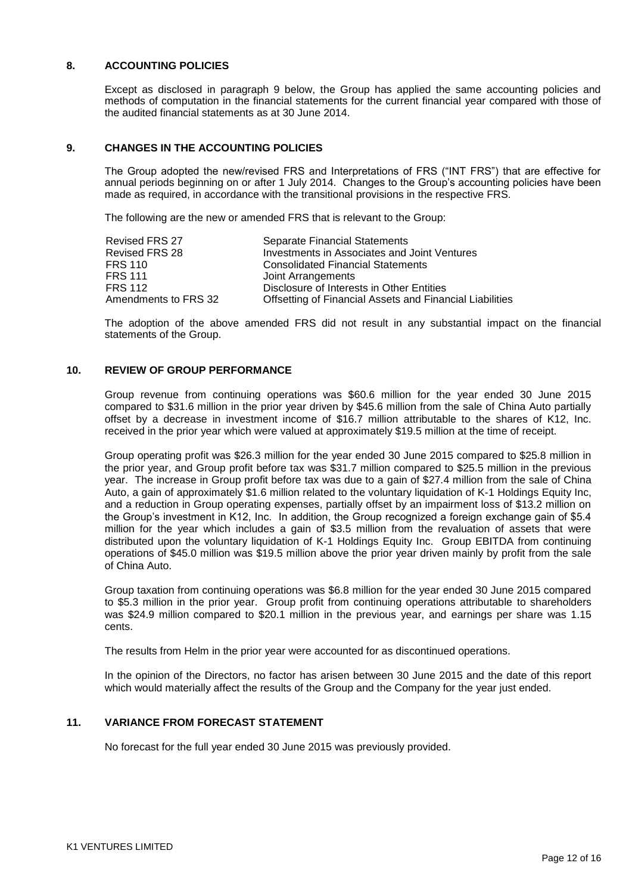### **8. ACCOUNTING POLICIES**

Except as disclosed in paragraph 9 below, the Group has applied the same accounting policies and methods of computation in the financial statements for the current financial year compared with those of the audited financial statements as at 30 June 2014.

## **9. CHANGES IN THE ACCOUNTING POLICIES**

The Group adopted the new/revised FRS and Interpretations of FRS ("INT FRS") that are effective for annual periods beginning on or after 1 July 2014. Changes to the Group"s accounting policies have been made as required, in accordance with the transitional provisions in the respective FRS.

The following are the new or amended FRS that is relevant to the Group:

| <b>Revised FRS 27</b> | <b>Separate Financial Statements</b>                     |
|-----------------------|----------------------------------------------------------|
| Revised FRS 28        | Investments in Associates and Joint Ventures             |
| FRS 110               | <b>Consolidated Financial Statements</b>                 |
| FRS 111               | Joint Arrangements                                       |
| <b>FRS 112</b>        | Disclosure of Interests in Other Entities                |
| Amendments to FRS 32  | Offsetting of Financial Assets and Financial Liabilities |

The adoption of the above amended FRS did not result in any substantial impact on the financial statements of the Group.

### **10. REVIEW OF GROUP PERFORMANCE**

Group revenue from continuing operations was \$60.6 million for the year ended 30 June 2015 compared to \$31.6 million in the prior year driven by \$45.6 million from the sale of China Auto partially offset by a decrease in investment income of \$16.7 million attributable to the shares of K12, Inc. received in the prior year which were valued at approximately \$19.5 million at the time of receipt.

Group operating profit was \$26.3 million for the year ended 30 June 2015 compared to \$25.8 million in the prior year, and Group profit before tax was \$31.7 million compared to \$25.5 million in the previous year. The increase in Group profit before tax was due to a gain of \$27.4 million from the sale of China Auto, a gain of approximately \$1.6 million related to the voluntary liquidation of K-1 Holdings Equity Inc, and a reduction in Group operating expenses, partially offset by an impairment loss of \$13.2 million on the Group's investment in K12, Inc. In addition, the Group recognized a foreign exchange gain of \$5.4 million for the year which includes a gain of \$3.5 million from the revaluation of assets that were distributed upon the voluntary liquidation of K-1 Holdings Equity Inc. Group EBITDA from continuing operations of \$45.0 million was \$19.5 million above the prior year driven mainly by profit from the sale of China Auto.

Group taxation from continuing operations was \$6.8 million for the year ended 30 June 2015 compared to \$5.3 million in the prior year. Group profit from continuing operations attributable to shareholders was \$24.9 million compared to \$20.1 million in the previous year, and earnings per share was 1.15 cents.

The results from Helm in the prior year were accounted for as discontinued operations.

In the opinion of the Directors, no factor has arisen between 30 June 2015 and the date of this report which would materially affect the results of the Group and the Company for the year just ended.

# **11. VARIANCE FROM FORECAST STATEMENT**

No forecast for the full year ended 30 June 2015 was previously provided.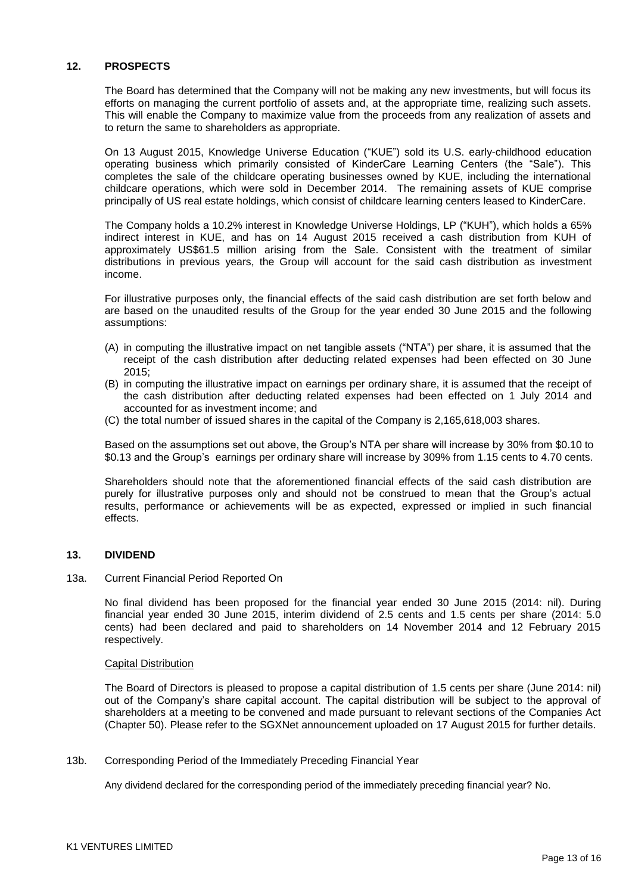### **12. PROSPECTS**

The Board has determined that the Company will not be making any new investments, but will focus its efforts on managing the current portfolio of assets and, at the appropriate time, realizing such assets. This will enable the Company to maximize value from the proceeds from any realization of assets and to return the same to shareholders as appropriate.

On 13 August 2015, Knowledge Universe Education ("KUE") sold its U.S. early-childhood education operating business which primarily consisted of KinderCare Learning Centers (the "Sale"). This completes the sale of the childcare operating businesses owned by KUE, including the international childcare operations, which were sold in December 2014. The remaining assets of KUE comprise principally of US real estate holdings, which consist of childcare learning centers leased to KinderCare.

The Company holds a 10.2% interest in Knowledge Universe Holdings, LP ("KUH"), which holds a 65% indirect interest in KUE, and has on 14 August 2015 received a cash distribution from KUH of approximately US\$61.5 million arising from the Sale. Consistent with the treatment of similar distributions in previous years, the Group will account for the said cash distribution as investment income.

For illustrative purposes only, the financial effects of the said cash distribution are set forth below and are based on the unaudited results of the Group for the year ended 30 June 2015 and the following assumptions:

- (A) in computing the illustrative impact on net tangible assets ("NTA") per share, it is assumed that the receipt of the cash distribution after deducting related expenses had been effected on 30 June 2015;
- (B) in computing the illustrative impact on earnings per ordinary share, it is assumed that the receipt of the cash distribution after deducting related expenses had been effected on 1 July 2014 and accounted for as investment income; and
- (C) the total number of issued shares in the capital of the Company is 2,165,618,003 shares.

Based on the assumptions set out above, the Group"s NTA per share will increase by 30% from \$0.10 to \$0.13 and the Group"s earnings per ordinary share will increase by 309% from 1.15 cents to 4.70 cents.

Shareholders should note that the aforementioned financial effects of the said cash distribution are purely for illustrative purposes only and should not be construed to mean that the Group"s actual results, performance or achievements will be as expected, expressed or implied in such financial effects.

#### **13. DIVIDEND**

#### 13a. Current Financial Period Reported On

No final dividend has been proposed for the financial year ended 30 June 2015 (2014: nil). During financial year ended 30 June 2015, interim dividend of 2.5 cents and 1.5 cents per share (2014: 5.0 cents) had been declared and paid to shareholders on 14 November 2014 and 12 February 2015 respectively.

#### Capital Distribution

The Board of Directors is pleased to propose a capital distribution of 1.5 cents per share (June 2014: nil) out of the Company"s share capital account. The capital distribution will be subject to the approval of shareholders at a meeting to be convened and made pursuant to relevant sections of the Companies Act (Chapter 50). Please refer to the SGXNet announcement uploaded on 17 August 2015 for further details.

13b. Corresponding Period of the Immediately Preceding Financial Year

Any dividend declared for the corresponding period of the immediately preceding financial year? No.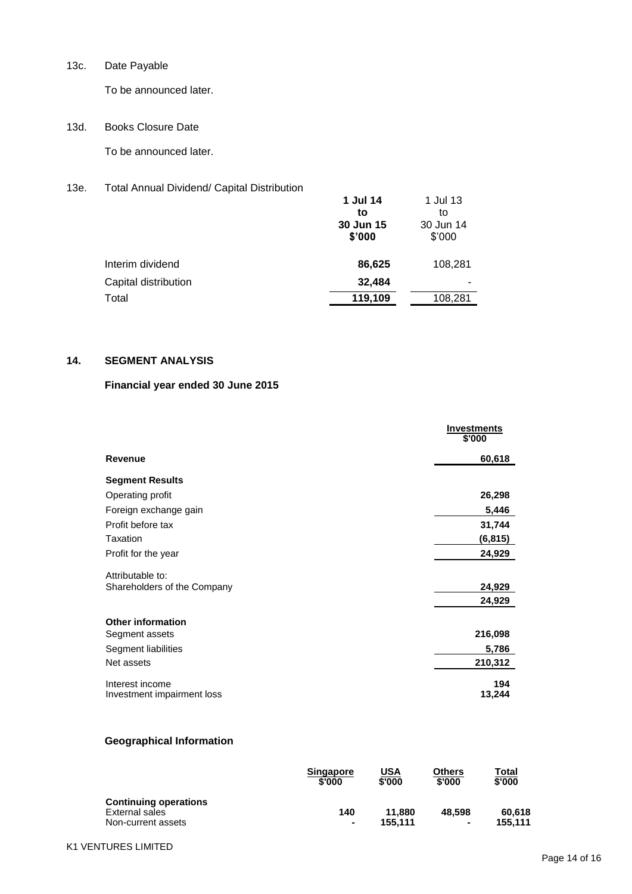13c. Date Payable

To be announced later.

13d. Books Closure Date

To be announced later.

13e. Total Annual Dividend/ Capital Distribution

|                      | 1 Jul 14<br>to<br>30 Jun 15<br>\$'000 | 1 Jul 13<br>to<br>30 Jun 14<br>\$'000 |
|----------------------|---------------------------------------|---------------------------------------|
| Interim dividend     | 86,625                                | 108,281                               |
| Capital distribution | 32,484                                |                                       |
| Total                | 119,109                               | 108,281                               |

# **14. SEGMENT ANALYSIS**

# **Financial year ended 30 June 2015**

|                                               | <b>Investments</b><br>\$'000 |
|-----------------------------------------------|------------------------------|
| <b>Revenue</b>                                | 60,618                       |
| <b>Segment Results</b>                        |                              |
| Operating profit                              | 26,298                       |
| Foreign exchange gain                         | 5,446                        |
| Profit before tax                             | 31,744                       |
| Taxation                                      | (6, 815)                     |
| Profit for the year                           | 24,929                       |
| Attributable to:                              |                              |
| Shareholders of the Company                   | 24,929                       |
|                                               | 24,929                       |
| <b>Other information</b>                      |                              |
| Segment assets                                | 216,098                      |
| Segment liabilities                           | 5,786                        |
| Net assets                                    | 210,312                      |
| Interest income<br>Investment impairment loss | 194<br>13,244                |

## **Geographical Information**

|                                                                      | <b>Singapore</b>      | USA               | Others      | Total             |
|----------------------------------------------------------------------|-----------------------|-------------------|-------------|-------------------|
|                                                                      | \$'000                | \$'000            | \$'000      | \$'000            |
| <b>Continuing operations</b><br>External sales<br>Non-current assets | 140<br>$\blacksquare$ | 11.880<br>155.111 | 48,598<br>۰ | 60.618<br>155.111 |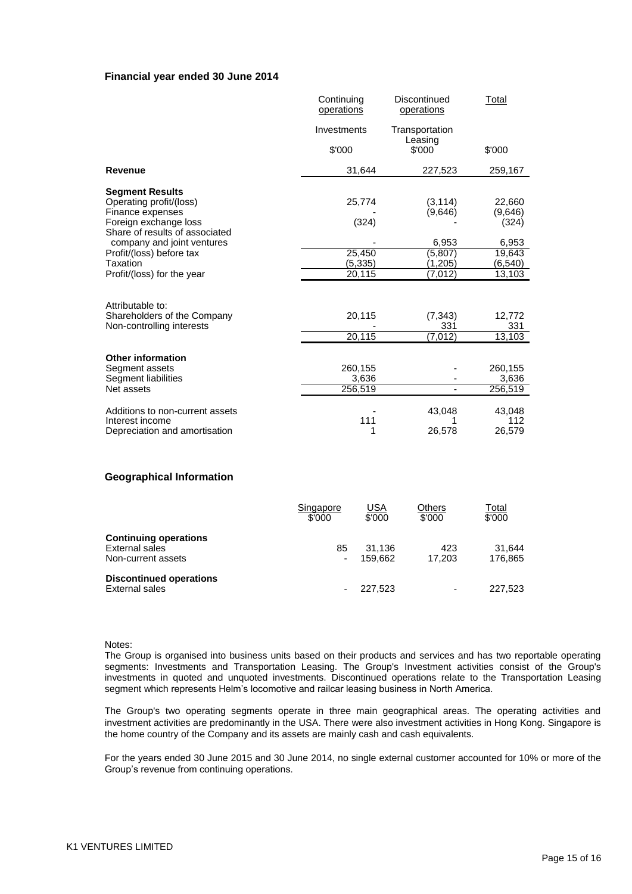#### **Financial year ended 30 June 2014**

|                                                                                                                                  | Continuing<br>operations     | Discontinued<br>operations              | Total                                 |
|----------------------------------------------------------------------------------------------------------------------------------|------------------------------|-----------------------------------------|---------------------------------------|
|                                                                                                                                  | Investments                  | Transportation                          |                                       |
|                                                                                                                                  | \$'000                       | Leasing<br>\$'000                       | \$'000                                |
| <b>Revenue</b>                                                                                                                   | 31,644                       | 227,523                                 | 259,167                               |
| <b>Segment Results</b><br>Operating profit/(loss)<br>Finance expenses<br>Foreign exchange loss<br>Share of results of associated | 25,774<br>(324)              | (3, 114)<br>(9,646)                     | 22,660<br>(9,646)<br>(324)            |
| company and joint ventures<br>Profit/(loss) before tax<br>Taxation<br>Profit/(loss) for the year                                 | 25,450<br>(5, 335)<br>20,115 | 6,953<br>(5, 807)<br>(1,205)<br>(7,012) | 6,953<br>19,643<br>(6, 540)<br>13,103 |
| Attributable to:                                                                                                                 |                              |                                         |                                       |
| Shareholders of the Company<br>Non-controlling interests                                                                         | 20,115                       | (7, 343)<br>331                         | 12,772<br>331                         |
|                                                                                                                                  | 20,115                       | (7, 012)                                | 13,103                                |
| <b>Other information</b><br>Segment assets<br>Segment liabilities                                                                | 260,155<br>3,636             |                                         | 260,155<br>3,636                      |
| Net assets                                                                                                                       | 256,519                      |                                         | 256,519                               |
| Additions to non-current assets<br>Interest income<br>Depreciation and amortisation                                              | 111<br>1                     | 43,048<br>26,578                        | 43,048<br>112<br>26,579               |

#### **Geographical Information**

|                                                                      | Singapore<br>\$'000 | <u>USA</u><br>\$'000 | Others<br>\$'000         | Total<br>\$'000   |
|----------------------------------------------------------------------|---------------------|----------------------|--------------------------|-------------------|
| <b>Continuing operations</b><br>External sales<br>Non-current assets | 85                  | 31.136<br>159.662    | 423<br>17.203            | 31.644<br>176.865 |
| <b>Discontinued operations</b><br>External sales                     |                     | 227.523              | $\overline{\phantom{a}}$ | 227,523           |

Notes:

The Group is organised into business units based on their products and services and has two reportable operating segments: Investments and Transportation Leasing. The Group's Investment activities consist of the Group's investments in quoted and unquoted investments. Discontinued operations relate to the Transportation Leasing segment which represents Helm"s locomotive and railcar leasing business in North America.

The Group's two operating segments operate in three main geographical areas. The operating activities and investment activities are predominantly in the USA. There were also investment activities in Hong Kong. Singapore is the home country of the Company and its assets are mainly cash and cash equivalents.

For the years ended 30 June 2015 and 30 June 2014, no single external customer accounted for 10% or more of the Group"s revenue from continuing operations.